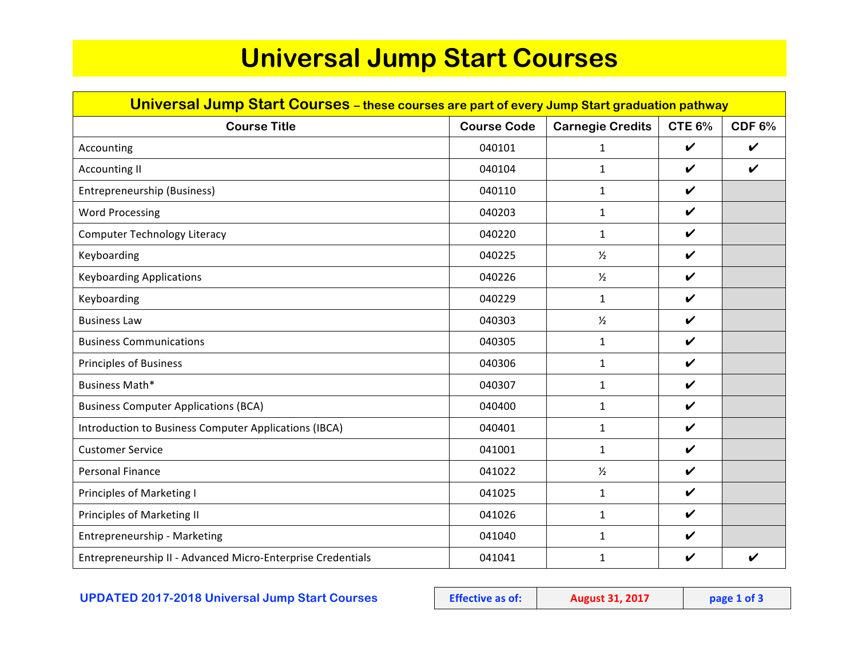## **Universal Jump Start Courses**

| Universal Jump Start Courses - these courses are part of every Jump Start graduation pathway |                    |                         |                    |                    |  |  |
|----------------------------------------------------------------------------------------------|--------------------|-------------------------|--------------------|--------------------|--|--|
| <b>Course Title</b>                                                                          | <b>Course Code</b> | <b>Carnegie Credits</b> | <b>CTE 6%</b>      | CDF 6%             |  |  |
| Accounting                                                                                   | 040101             | $\mathbf{1}$            | $\checkmark$       | $\boldsymbol{\nu}$ |  |  |
| <b>Accounting II</b>                                                                         | 040104             | $\mathbf{1}$            | $\checkmark$       | $\checkmark$       |  |  |
| Entrepreneurship (Business)                                                                  | 040110             | $\mathbf{1}$            | $\checkmark$       |                    |  |  |
| <b>Word Processing</b>                                                                       | 040203             | $\mathbf{1}$            | $\checkmark$       |                    |  |  |
| <b>Computer Technology Literacy</b>                                                          | 040220             | $\mathbf{1}$            | $\checkmark$       |                    |  |  |
| Keyboarding                                                                                  | 040225             | $\frac{1}{2}$           | $\boldsymbol{\nu}$ |                    |  |  |
| <b>Keyboarding Applications</b>                                                              | 040226             | $\frac{1}{2}$           | $\boldsymbol{\nu}$ |                    |  |  |
| Keyboarding                                                                                  | 040229             | $\mathbf{1}$            | $\checkmark$       |                    |  |  |
| <b>Business Law</b>                                                                          | 040303             | $\frac{1}{2}$           | $\checkmark$       |                    |  |  |
| <b>Business Communications</b>                                                               | 040305             | $\mathbf{1}$            | $\boldsymbol{\nu}$ |                    |  |  |
| <b>Principles of Business</b>                                                                | 040306             | $\mathbf{1}$            | $\boldsymbol{\nu}$ |                    |  |  |
| Business Math*                                                                               | 040307             | $\mathbf{1}$            | $\checkmark$       |                    |  |  |
| <b>Business Computer Applications (BCA)</b>                                                  | 040400             | $\mathbf{1}$            | $\checkmark$       |                    |  |  |
| Introduction to Business Computer Applications (IBCA)                                        | 040401             | $\mathbf{1}$            | $\boldsymbol{\nu}$ |                    |  |  |
| <b>Customer Service</b>                                                                      | 041001             | $\mathbf{1}$            | $\checkmark$       |                    |  |  |
| <b>Personal Finance</b>                                                                      | 041022             | $\frac{1}{2}$           | $\boldsymbol{\nu}$ |                    |  |  |
| Principles of Marketing I                                                                    | 041025             | $\mathbf{1}$            | $\boldsymbol{\nu}$ |                    |  |  |
| Principles of Marketing II                                                                   | 041026             | $\mathbf{1}$            | $\checkmark$       |                    |  |  |
| Entrepreneurship - Marketing                                                                 | 041040             | $\mathbf{1}$            | $\boldsymbol{\nu}$ |                    |  |  |
| Entrepreneurship II - Advanced Micro-Enterprise Credentials                                  | 041041             | $\mathbf{1}$            | V                  | $\boldsymbol{\nu}$ |  |  |

## **UPDATED** 2017-2018 Universal Jump Start Courses **Effective as of:** August 31, 2017 **page 1** of 3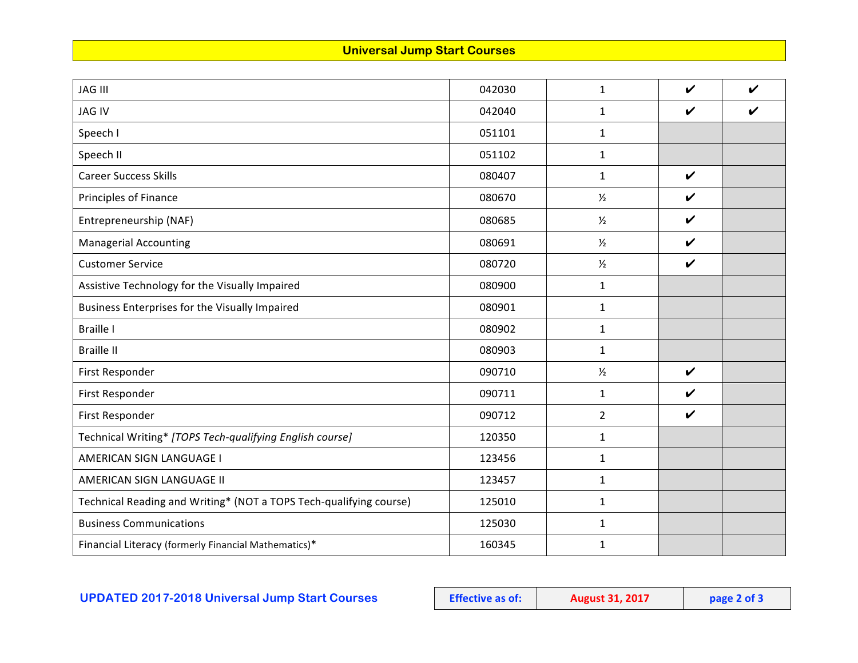## **Universal Jump Start Courses**

| <b>JAG III</b>                                                     | 042030 | $\mathbf{1}$   | $\boldsymbol{\nu}$ | $\boldsymbol{\nu}$ |
|--------------------------------------------------------------------|--------|----------------|--------------------|--------------------|
| <b>JAG IV</b>                                                      | 042040 | $\mathbf{1}$   | $\boldsymbol{\nu}$ | V                  |
| Speech I                                                           | 051101 | $\mathbf{1}$   |                    |                    |
| Speech II                                                          | 051102 | $\mathbf{1}$   |                    |                    |
| <b>Career Success Skills</b>                                       | 080407 | $\mathbf{1}$   | $\boldsymbol{\nu}$ |                    |
| <b>Principles of Finance</b>                                       | 080670 | $\frac{1}{2}$  | $\boldsymbol{\nu}$ |                    |
| Entrepreneurship (NAF)                                             | 080685 | $\frac{1}{2}$  | $\boldsymbol{\nu}$ |                    |
| <b>Managerial Accounting</b>                                       | 080691 | $\frac{1}{2}$  | $\boldsymbol{\nu}$ |                    |
| <b>Customer Service</b>                                            | 080720 | $\frac{1}{2}$  | $\checkmark$       |                    |
| Assistive Technology for the Visually Impaired                     | 080900 | $\mathbf{1}$   |                    |                    |
| Business Enterprises for the Visually Impaired                     | 080901 | $\mathbf{1}$   |                    |                    |
| <b>Braille I</b>                                                   | 080902 | $\mathbf{1}$   |                    |                    |
| <b>Braille II</b>                                                  | 080903 | $\mathbf{1}$   |                    |                    |
| First Responder                                                    | 090710 | $\frac{1}{2}$  | $\checkmark$       |                    |
| First Responder                                                    | 090711 | $\mathbf{1}$   | $\boldsymbol{\nu}$ |                    |
| First Responder                                                    | 090712 | $\overline{2}$ | $\boldsymbol{\nu}$ |                    |
| Technical Writing* [TOPS Tech-qualifying English course]           | 120350 | $\mathbf{1}$   |                    |                    |
| AMERICAN SIGN LANGUAGE I                                           | 123456 | $\mathbf{1}$   |                    |                    |
| AMERICAN SIGN LANGUAGE II                                          | 123457 | $\mathbf{1}$   |                    |                    |
| Technical Reading and Writing* (NOT a TOPS Tech-qualifying course) | 125010 | $\mathbf{1}$   |                    |                    |
| <b>Business Communications</b>                                     | 125030 | $\mathbf{1}$   |                    |                    |
| Financial Literacy (formerly Financial Mathematics)*               | 160345 | $\mathbf{1}$   |                    |                    |